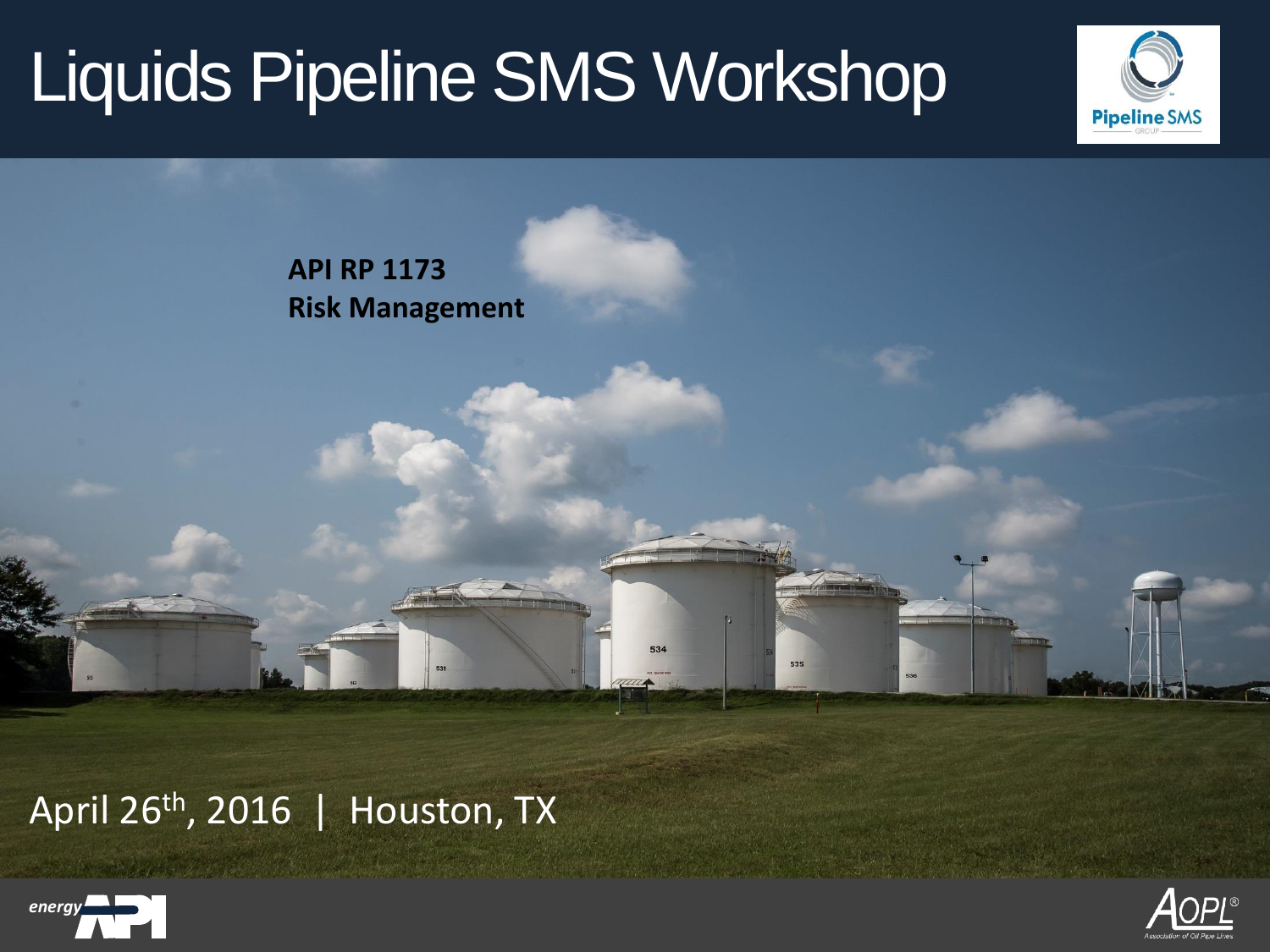



April 26th, 2016 | Houston, TX



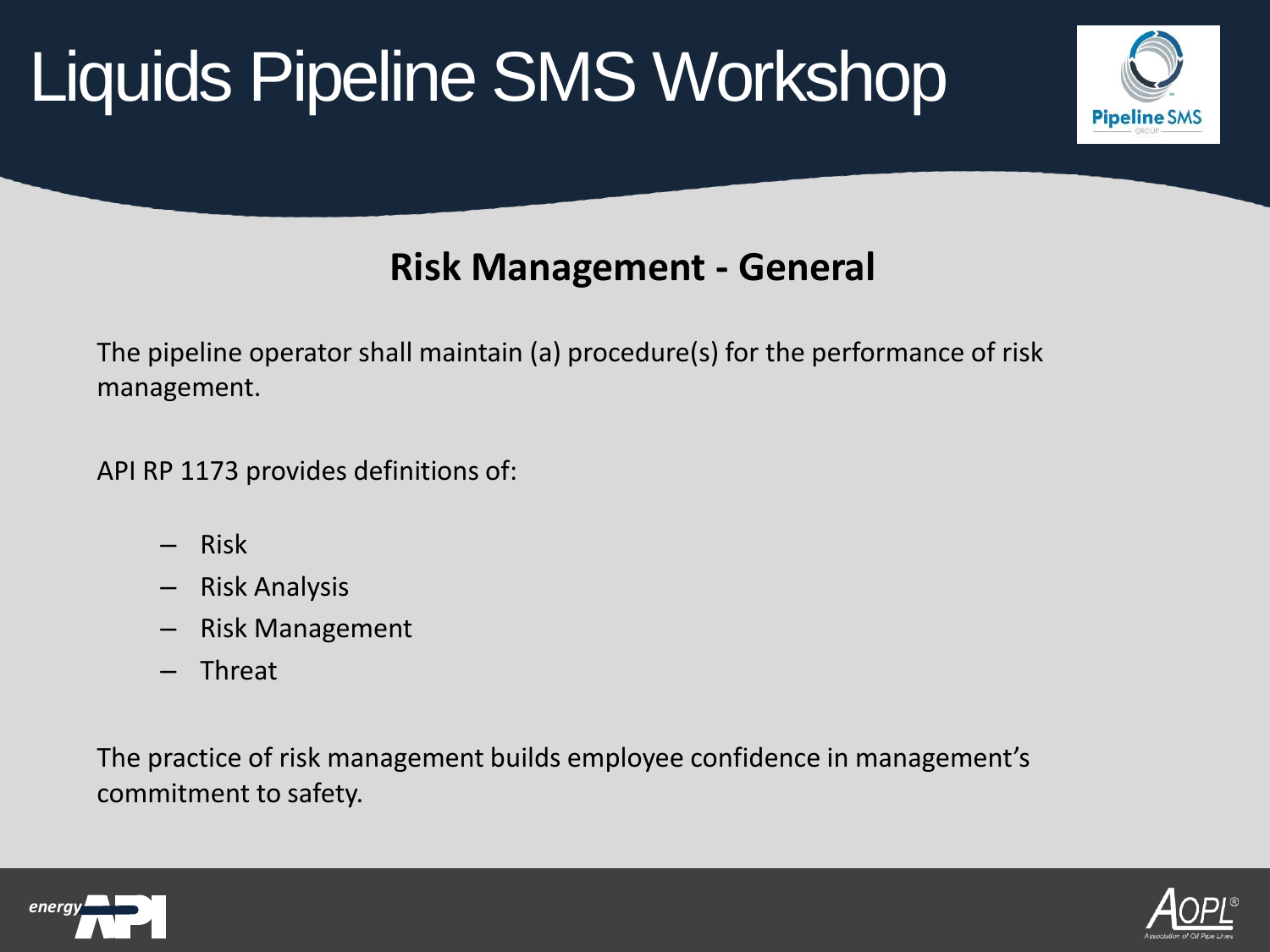

### **Risk Management - General**

The pipeline operator shall maintain (a) procedure(s) for the performance of risk management.

API RP 1173 provides definitions of:

- Risk
- Risk Analysis
- Risk Management
- Threat

The practice of risk management builds employee confidence in management's commitment to safety.



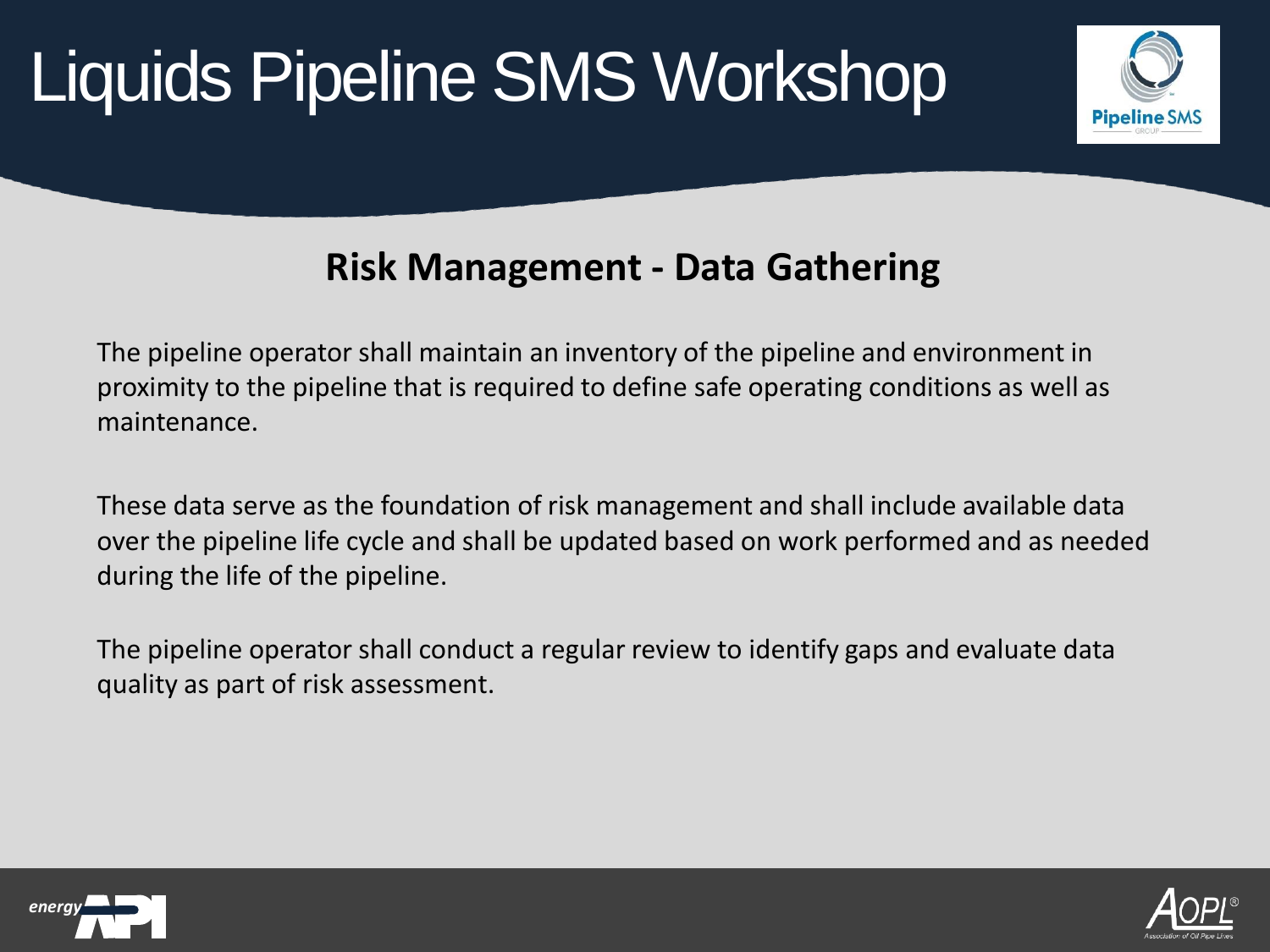

## **Risk Management - Data Gathering**

The pipeline operator shall maintain an inventory of the pipeline and environment in proximity to the pipeline that is required to define safe operating conditions as well as maintenance.

These data serve as the foundation of risk management and shall include available data over the pipeline life cycle and shall be updated based on work performed and as needed during the life of the pipeline.

The pipeline operator shall conduct a regular review to identify gaps and evaluate data quality as part of risk assessment.



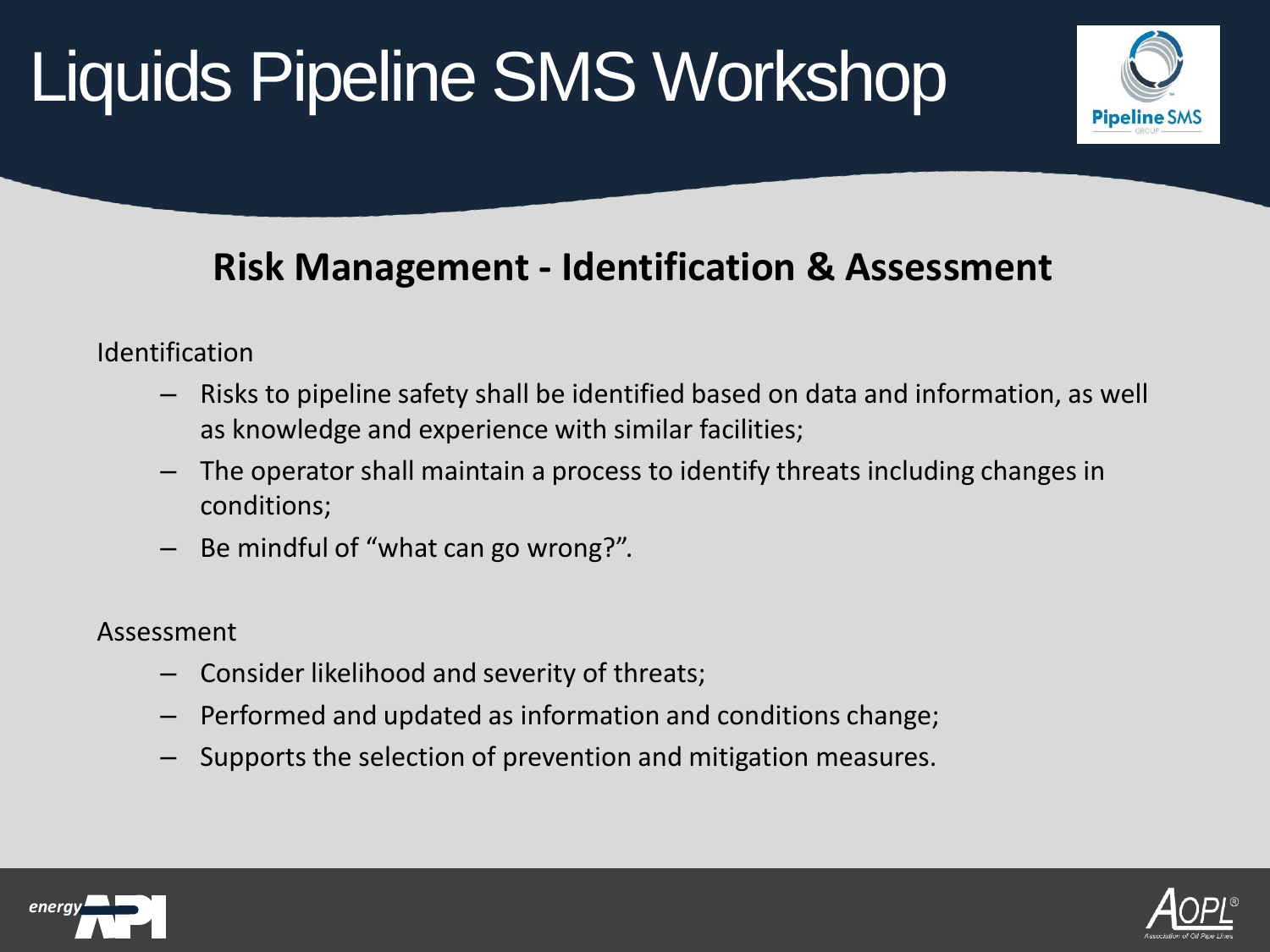

## **Risk Management - Identification & Assessment**

Identification

- Risks to pipeline safety shall be identified based on data and information, as well as knowledge and experience with similar facilities;
- The operator shall maintain a process to identify threats including changes in conditions;
- Be mindful of "what can go wrong?".

Assessment

- Consider likelihood and severity of threats;
- Performed and updated as information and conditions change;
- Supports the selection of prevention and mitigation measures.



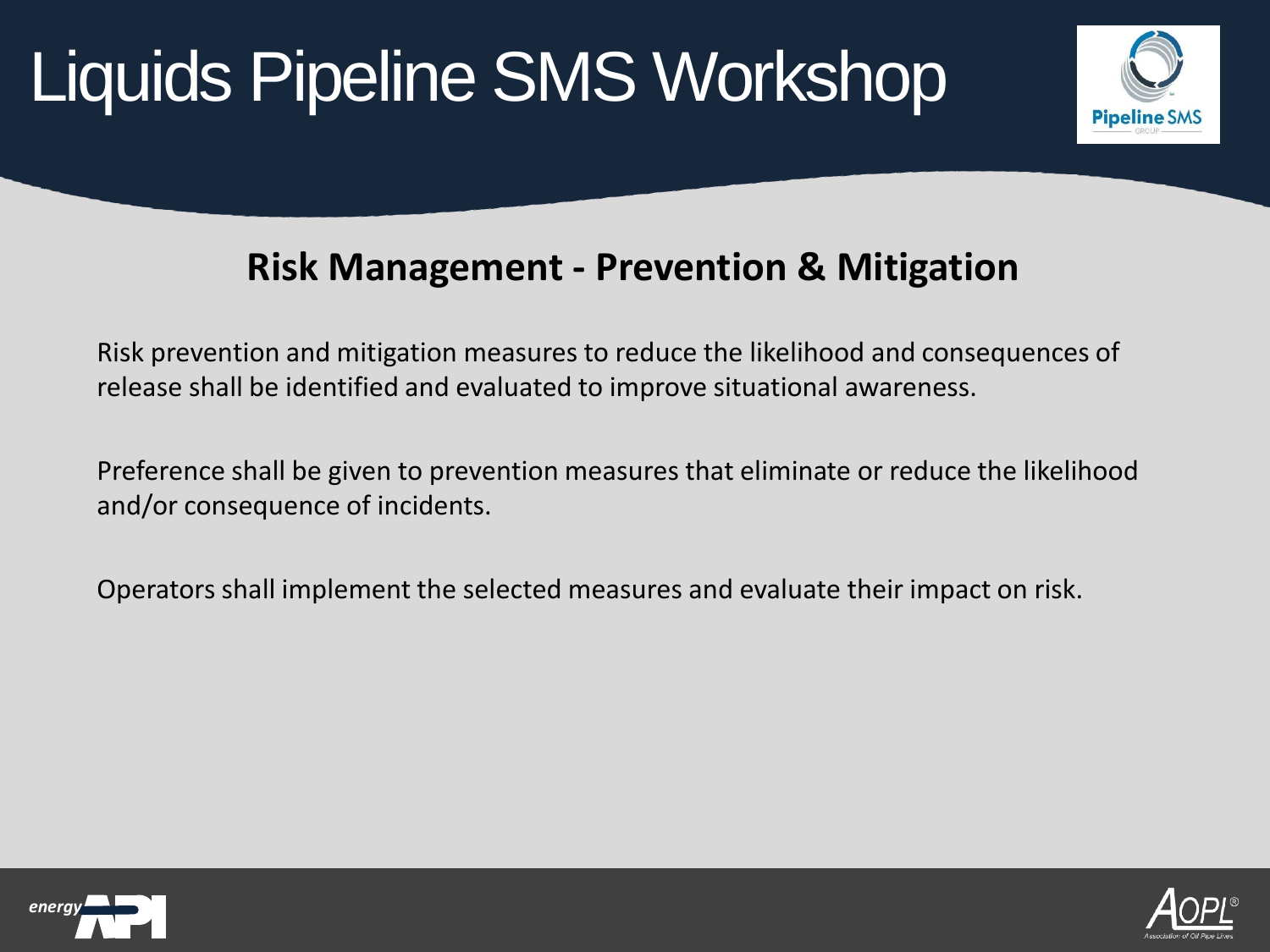

#### **Risk Management - Prevention & Mitigation**

Risk prevention and mitigation measures to reduce the likelihood and consequences of release shall be identified and evaluated to improve situational awareness.

Preference shall be given to prevention measures that eliminate or reduce the likelihood and/or consequence of incidents.

Operators shall implement the selected measures and evaluate their impact on risk.



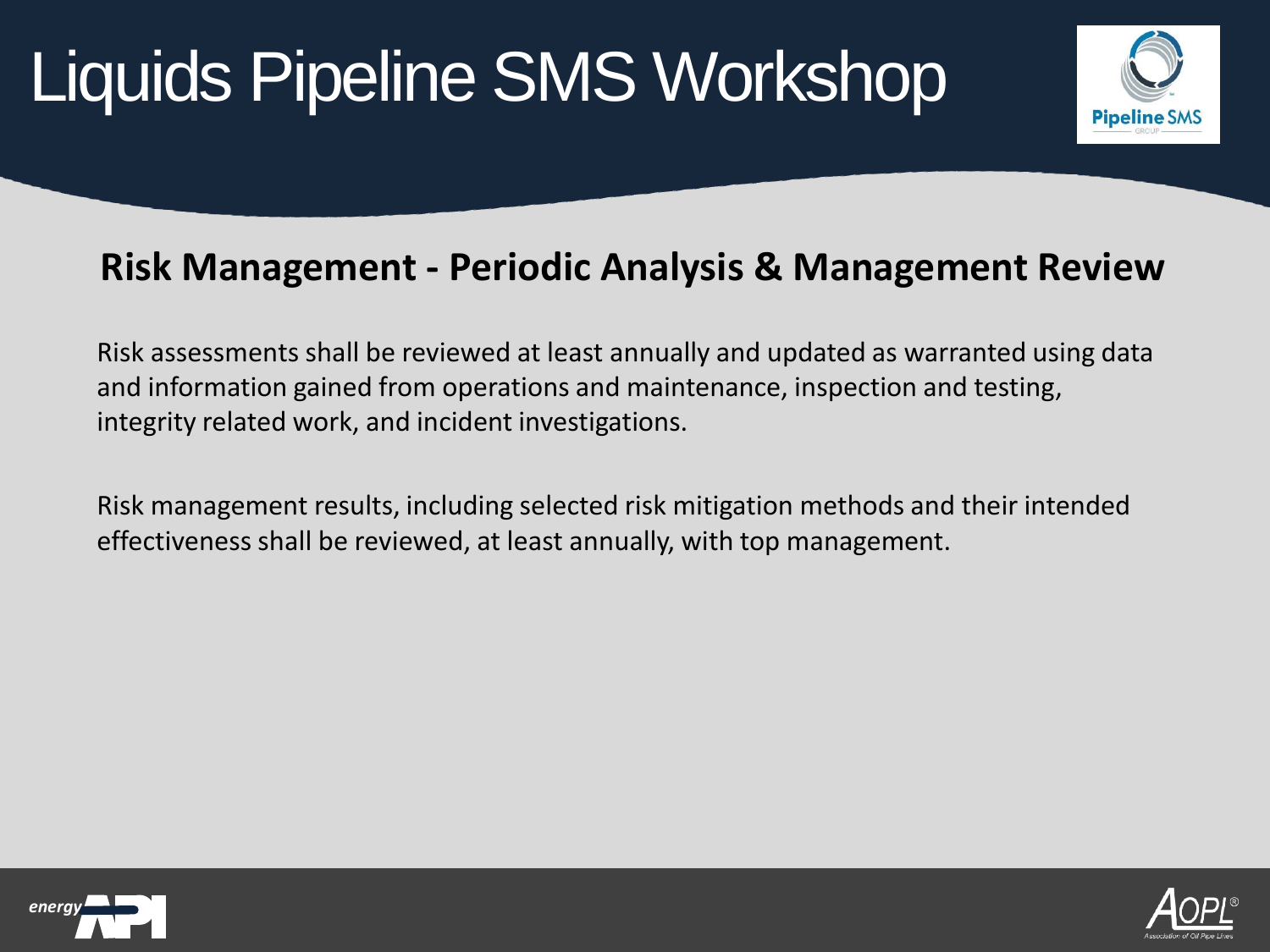

#### **Risk Management - Periodic Analysis & Management Review**

Risk assessments shall be reviewed at least annually and updated as warranted using data and information gained from operations and maintenance, inspection and testing, integrity related work, and incident investigations.

Risk management results, including selected risk mitigation methods and their intended effectiveness shall be reviewed, at least annually, with top management.



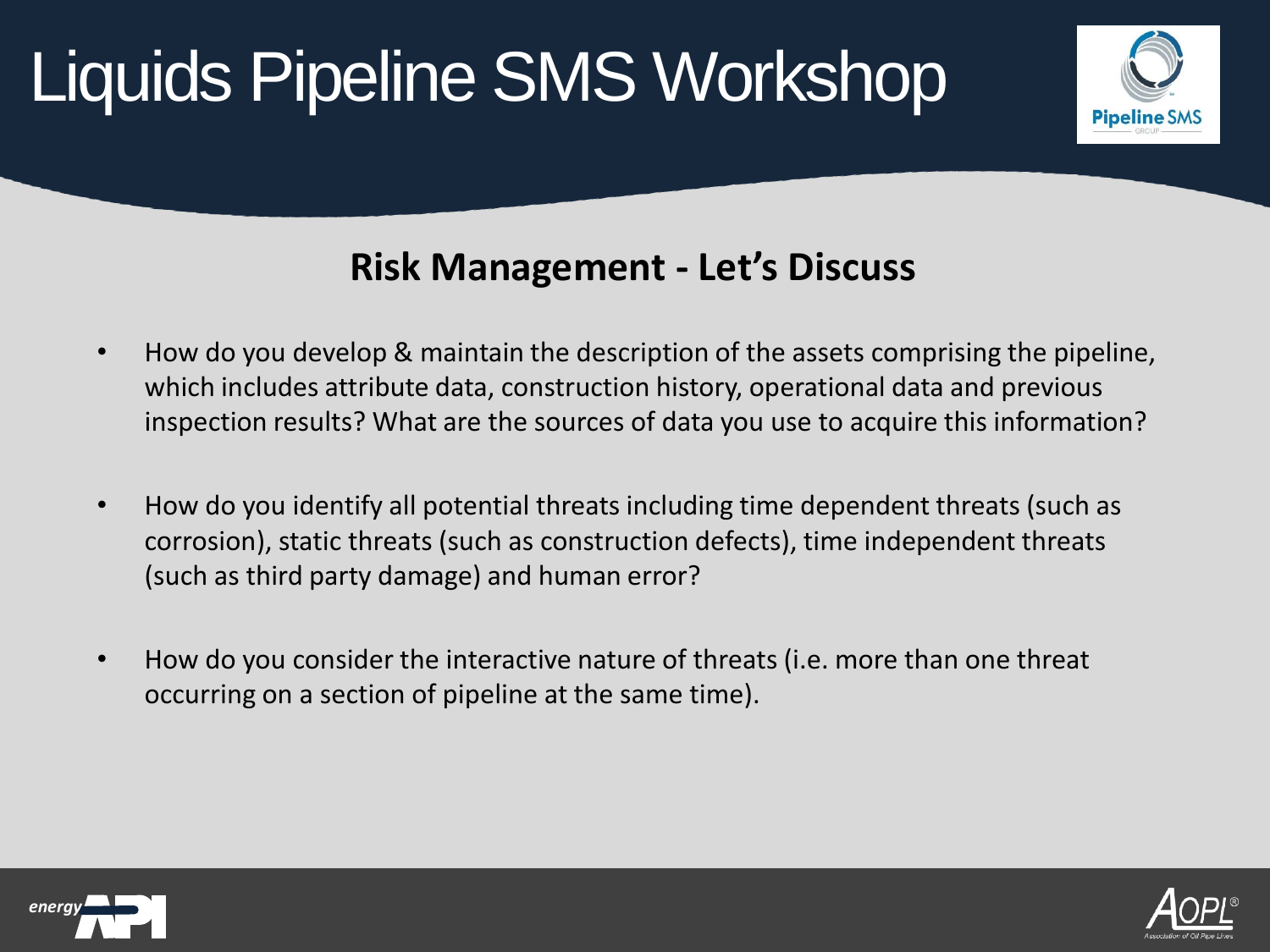

## **Risk Management - Let's Discuss**

- How do you develop & maintain the description of the assets comprising the pipeline, which includes attribute data, construction history, operational data and previous inspection results? What are the sources of data you use to acquire this information?
- How do you identify all potential threats including time dependent threats (such as corrosion), static threats (such as construction defects), time independent threats (such as third party damage) and human error?
- How do you consider the interactive nature of threats (i.e. more than one threat occurring on a section of pipeline at the same time).